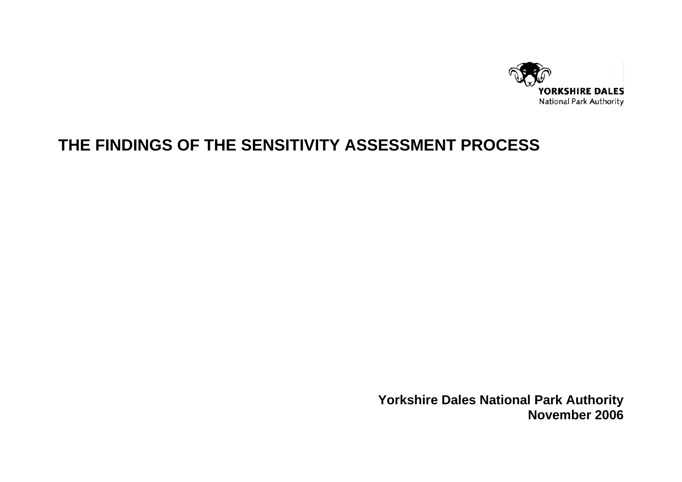

# **THE FINDINGS OF THE SENSITIVITY ASSESSMENT PROCESS**

**Yorkshire Dales National Park Authority November 2006**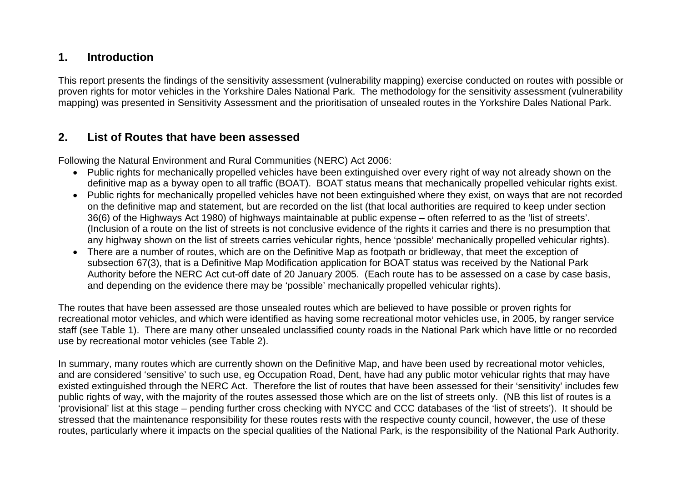### **1. Introduction**

This report presents the findings of the sensitivity assessment (vulnerability mapping) exercise conducted on routes with possible or proven rights for motor vehicles in the Yorkshire Dales National Park. The methodology for the sensitivity assessment (vulnerability mapping) was presented in Sensitivity Assessment and the prioritisation of unsealed routes in the Yorkshire Dales National Park.

### **2. List of Routes that have been assessed**

Following the Natural Environment and Rural Communities (NERC) Act 2006:

- Public rights for mechanically propelled vehicles have been extinguished over every right of way not already shown on the definitive map as a byway open to all traffic (BOAT). BOAT status means that mechanically propelled vehicular rights exist.
- Public rights for mechanically propelled vehicles have not been extinguished where they exist, on ways that are not recorded on the definitive map and statement, but are recorded on the list (that local authorities are required to keep under section 36(6) of the Highways Act 1980) of highways maintainable at public expense – often referred to as the 'list of streets'. (Inclusion of a route on the list of streets is not conclusive evidence of the rights it carries and there is no presumption that any highway shown on the list of streets carries vehicular rights, hence 'possible' mechanically propelled vehicular rights).
- There are a number of routes, which are on the Definitive Map as footpath or bridleway, that meet the exception of subsection 67(3), that is a Definitive Map Modification application for BOAT status was received by the National Park Authority before the NERC Act cut-off date of 20 January 2005. (Each route has to be assessed on a case by case basis, and depending on the evidence there may be 'possible' mechanically propelled vehicular rights).

The routes that have been assessed are those unsealed routes which are believed to have possible or proven rights for recreational motor vehicles, and which were identified as having some recreational motor vehicles use, in 2005, by ranger service staff (see Table 1). There are many other unsealed unclassified county roads in the National Park which have little or no recorded use by recreational motor vehicles (see Table 2).

In summary, many routes which are currently shown on the Definitive Map, and have been used by recreational motor vehicles, and are considered 'sensitive' to such use, eg Occupation Road, Dent, have had any public motor vehicular rights that may have existed extinguished through the NERC Act. Therefore the list of routes that have been assessed for their 'sensitivity' includes few public rights of way, with the majority of the routes assessed those which are on the list of streets only. (NB this list of routes is a 'provisional' list at this stage – pending further cross checking with NYCC and CCC databases of the 'list of streets'). It should be stressed that the maintenance responsibility for these routes rests with the respective county council, however, the use of these routes, particularly where it impacts on the special qualities of the National Park, is the responsibility of the National Park Authority.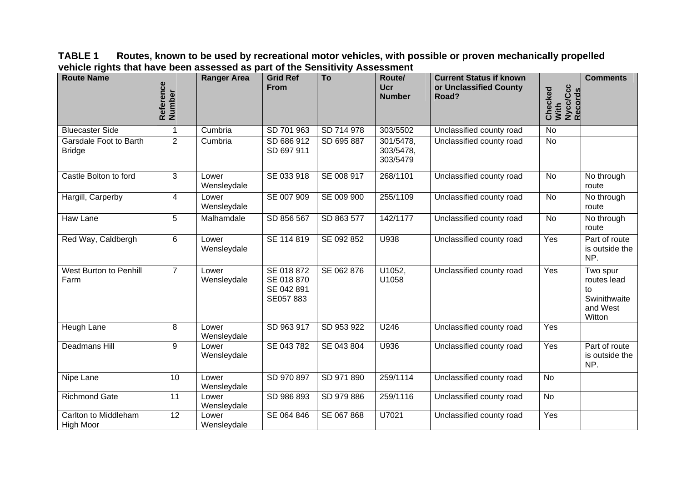**TABLE 1 Routes, known to be used by recreational motor vehicles, with possible or proven mechanically propelled vehicle rights that have been assessed as part of the Sensitivity Assessment**

| <b>Route Name</b>                        | Reference<br>Number | <b>Ranger Area</b>   | <b>Grid Ref</b><br><b>From</b>                     | To         | Route/<br><b>Ucr</b><br><b>Number</b> | <b>Current Status if known</b><br>or Unclassified County<br>Road? | Nycc/Ccc<br>Records<br>Checked<br>With | <b>Comments</b>                                                     |
|------------------------------------------|---------------------|----------------------|----------------------------------------------------|------------|---------------------------------------|-------------------------------------------------------------------|----------------------------------------|---------------------------------------------------------------------|
| <b>Bluecaster Side</b>                   | 1                   | Cumbria              | SD 701 963                                         | SD 714 978 | 303/5502                              | Unclassified county road                                          | <b>No</b>                              |                                                                     |
| Garsdale Foot to Barth<br><b>Bridge</b>  | $\overline{2}$      | Cumbria              | SD 686 912<br>SD 697 911                           | SD 695 887 | 301/5478,<br>303/5478,<br>303/5479    | Unclassified county road                                          | No                                     |                                                                     |
| Castle Bolton to ford                    | 3                   | Lower<br>Wensleydale | SE 033 918                                         | SE 008 917 | 268/1101                              | Unclassified county road                                          | <b>No</b>                              | No through<br>route                                                 |
| Hargill, Carperby                        | $\overline{4}$      | Lower<br>Wensleydale | SE 007 909                                         | SE 009 900 | 255/1109                              | Unclassified county road                                          | <b>No</b>                              | No through<br>route                                                 |
| Haw Lane                                 | 5                   | Malhamdale           | SD 856 567                                         | SD 863 577 | 142/1177                              | Unclassified county road                                          | No                                     | No through<br>route                                                 |
| Red Way, Caldbergh                       | 6                   | Lower<br>Wensleydale | SE 114 819                                         | SE 092 852 | U938                                  | Unclassified county road                                          | Yes                                    | Part of route<br>is outside the<br>NP.                              |
| West Burton to Penhill<br>Farm           | $\overline{7}$      | Lower<br>Wensleydale | SE 018 872<br>SE 018 870<br>SE 042 891<br>SE057883 | SE 062 876 | U1052,<br>U1058                       | Unclassified county road                                          | Yes                                    | Two spur<br>routes lead<br>to<br>Swinithwaite<br>and West<br>Witton |
| Heugh Lane                               | $\, 8$              | Lower<br>Wensleydale | SD 963 917                                         | SD 953 922 | U246                                  | Unclassified county road                                          | Yes                                    |                                                                     |
| Deadmans Hill                            | 9                   | Lower<br>Wensleydale | SE 043 782                                         | SE 043 804 | U936                                  | Unclassified county road                                          | Yes                                    | Part of route<br>is outside the<br>NP.                              |
| Nipe Lane                                | 10                  | Lower<br>Wensleydale | SD 970 897                                         | SD 971 890 | 259/1114                              | Unclassified county road                                          | <b>No</b>                              |                                                                     |
| <b>Richmond Gate</b>                     | 11                  | Lower<br>Wensleydale | SD 986 893                                         | SD 979 886 | 259/1116                              | Unclassified county road                                          | <b>No</b>                              |                                                                     |
| Carlton to Middleham<br><b>High Moor</b> | 12                  | Lower<br>Wensleydale | SE 064 846                                         | SE 067 868 | U7021                                 | Unclassified county road                                          | Yes                                    |                                                                     |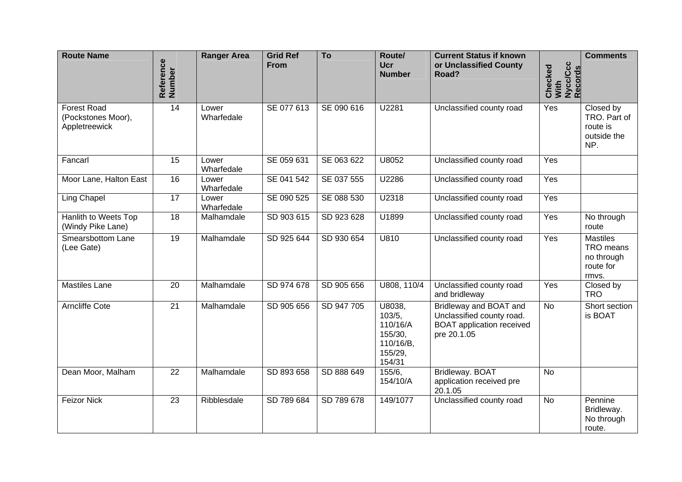| <b>Route Name</b>                                         | Reference<br>Number | <b>Ranger Area</b>  | <b>Grid Ref</b><br><b>From</b> | To         | Route/<br><b>Ucr</b><br><b>Number</b>                                     | <b>Current Status if known</b><br>or Unclassified County<br>Road?                                      | Nycc/Ccc<br>Records<br>Checked<br>With | <b>Comments</b>                                                  |
|-----------------------------------------------------------|---------------------|---------------------|--------------------------------|------------|---------------------------------------------------------------------------|--------------------------------------------------------------------------------------------------------|----------------------------------------|------------------------------------------------------------------|
| <b>Forest Road</b><br>(Pockstones Moor),<br>Appletreewick | 14                  | Lower<br>Wharfedale | SE 077 613                     | SE 090 616 | U2281                                                                     | Unclassified county road                                                                               | Yes                                    | Closed by<br>TRO. Part of<br>route is<br>outside the<br>NP.      |
| Fancarl                                                   | 15                  | Lower<br>Wharfedale | SE 059 631                     | SE 063 622 | U8052                                                                     | Unclassified county road                                                                               | Yes                                    |                                                                  |
| Moor Lane, Halton East                                    | 16                  | Lower<br>Wharfedale | SE 041 542                     | SE 037 555 | U2286                                                                     | Unclassified county road                                                                               | Yes                                    |                                                                  |
| Ling Chapel                                               | 17                  | Lower<br>Wharfedale | SE 090 525                     | SE 088 530 | U2318                                                                     | Unclassified county road                                                                               | Yes                                    |                                                                  |
| Hanlith to Weets Top<br>(Windy Pike Lane)                 | $\overline{18}$     | Malhamdale          | SD 903 615                     | SD 923 628 | U1899                                                                     | Unclassified county road                                                                               | Yes                                    | No through<br>route                                              |
| Smearsbottom Lane<br>(Lee Gate)                           | $\overline{19}$     | Malhamdale          | SD 925 644                     | SD 930 654 | U810                                                                      | Unclassified county road                                                                               | Yes                                    | <b>Mastiles</b><br>TRO means<br>no through<br>route for<br>rmvs. |
| <b>Mastiles Lane</b>                                      | $\overline{20}$     | Malhamdale          | SD 974 678                     | SD 905 656 | U808, 110/4                                                               | Unclassified county road<br>and bridleway                                                              | Yes                                    | Closed by<br><b>TRO</b>                                          |
| <b>Arncliffe Cote</b>                                     | $\overline{21}$     | Malhamdale          | SD 905 656                     | SD 947 705 | U8038,<br>103/5,<br>110/16/A<br>155/30,<br>110/16/B,<br>155/29,<br>154/31 | Bridleway and BOAT and<br>Unclassified county road.<br><b>BOAT</b> application received<br>pre 20.1.05 | <b>No</b>                              | Short section<br>is BOAT                                         |
| Dean Moor, Malham                                         | 22                  | Malhamdale          | SD 893 658                     | SD 888 649 | 155/6,<br>154/10/A                                                        | Bridleway. BOAT<br>application received pre<br>20.1.05                                                 | <b>No</b>                              |                                                                  |
| <b>Feizor Nick</b>                                        | 23                  | Ribblesdale         | SD 789 684                     | SD 789 678 | 149/1077                                                                  | Unclassified county road                                                                               | <b>No</b>                              | Pennine<br>Bridleway.<br>No through<br>route.                    |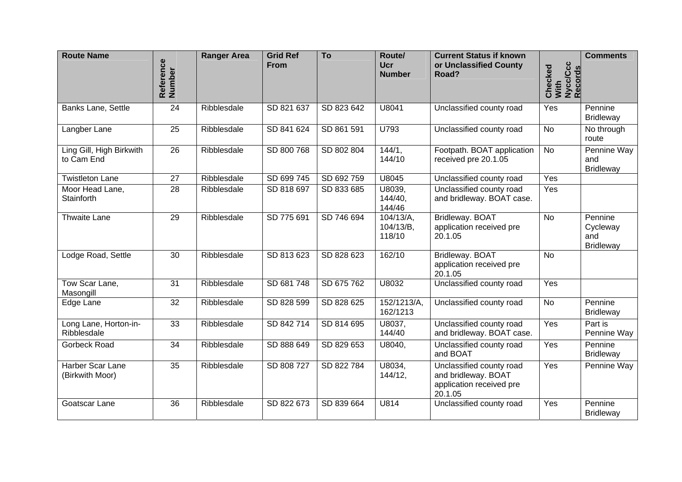| <b>Route Name</b>                      | Reference<br>Number | <b>Ranger Area</b> | <b>Grid Ref</b><br><b>From</b> | To         | Route/<br><b>Ucr</b><br><b>Number</b> | <b>Current Status if known</b><br>or Unclassified County<br>Road?                      | Nycc/Ccc<br>Records<br>Checked<br>With | <b>Comments</b>                                |
|----------------------------------------|---------------------|--------------------|--------------------------------|------------|---------------------------------------|----------------------------------------------------------------------------------------|----------------------------------------|------------------------------------------------|
| <b>Banks Lane, Settle</b>              | 24                  | Ribblesdale        | SD 821 637                     | SD 823 642 | U8041                                 | Unclassified county road                                                               | Yes                                    | Pennine<br><b>Bridleway</b>                    |
| Langber Lane                           | $\overline{25}$     | Ribblesdale        | SD 841 624                     | SD 861 591 | U793                                  | Unclassified county road                                                               | $\overline{N}$                         | No through<br>route                            |
| Ling Gill, High Birkwith<br>to Cam End | 26                  | Ribblesdale        | SD 800 768                     | SD 802 804 | 144/1,<br>144/10                      | Footpath. BOAT application<br>received pre 20.1.05                                     | <b>No</b>                              | Pennine Way<br>and<br><b>Bridleway</b>         |
| <b>Twistleton Lane</b>                 | 27                  | Ribblesdale        | SD 699 745                     | SD 692759  | U8045                                 | Unclassified county road                                                               | Yes                                    |                                                |
| Moor Head Lane,<br>Stainforth          | 28                  | Ribblesdale        | SD 818 697                     | SD 833 685 | U8039,<br>144/40,<br>144/46           | Unclassified county road<br>and bridleway. BOAT case.                                  | Yes                                    |                                                |
| <b>Thwaite Lane</b>                    | 29                  | Ribblesdale        | SD 775 691                     | SD 746 694 | 104/13/A,<br>104/13/B,<br>118/10      | Bridleway. BOAT<br>application received pre<br>20.1.05                                 | <b>No</b>                              | Pennine<br>Cycleway<br>and<br><b>Bridleway</b> |
| Lodge Road, Settle                     | 30                  | Ribblesdale        | SD 813 623                     | SD 828 623 | 162/10                                | Bridleway. BOAT<br>application received pre<br>20.1.05                                 | <b>No</b>                              |                                                |
| Tow Scar Lane,<br>Masongill            | 31                  | Ribblesdale        | SD 681 748                     | SD 675 762 | U8032                                 | Unclassified county road                                                               | Yes                                    |                                                |
| Edge Lane                              | 32                  | Ribblesdale        | SD 828 599                     | SD 828 625 | 152/1213/A,<br>162/1213               | Unclassified county road                                                               | <b>No</b>                              | Pennine<br><b>Bridleway</b>                    |
| Long Lane, Horton-in-<br>Ribblesdale   | $\overline{33}$     | Ribblesdale        | SD 842714                      | SD 814 695 | U8037,<br>144/40                      | Unclassified county road<br>and bridleway. BOAT case.                                  | Yes                                    | Part is<br>Pennine Way                         |
| Gorbeck Road                           | $\overline{34}$     | Ribblesdale        | SD 888 649                     | SD 829 653 | U8040,                                | Unclassified county road<br>and BOAT                                                   | Yes                                    | Pennine<br><b>Bridleway</b>                    |
| Harber Scar Lane<br>(Birkwith Moor)    | 35                  | Ribblesdale        | SD 808 727                     | SD 822 784 | U8034,<br>144/12,                     | Unclassified county road<br>and bridleway. BOAT<br>application received pre<br>20.1.05 | Yes                                    | Pennine Way                                    |
| Goatscar Lane                          | 36                  | Ribblesdale        | SD 822 673                     | SD 839 664 | U814                                  | Unclassified county road                                                               | Yes                                    | Pennine<br><b>Bridleway</b>                    |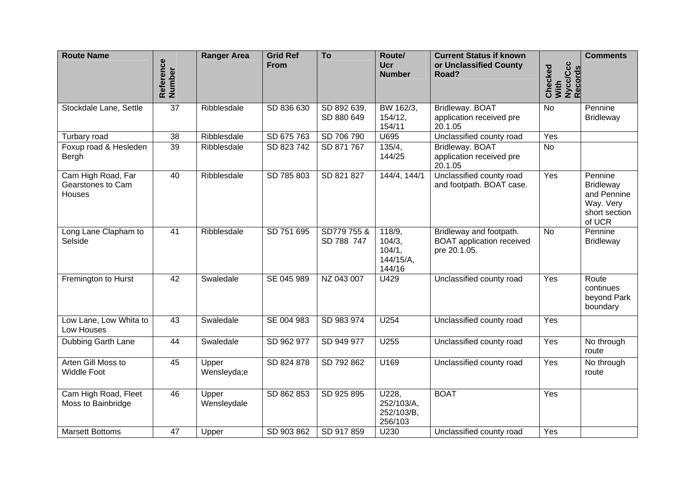| <b>Route Name</b>                                 | Reference<br>Number | <b>Ranger Area</b>   | <b>Grid Ref</b><br><b>From</b> | To                        | Route/<br><b>Ucr</b><br><b>Number</b>             | <b>Current Status if known</b><br>or Unclassified County<br>Road?           | With<br>Nycc/Ccc<br>Records<br>Checked | <b>Comments</b>                                                                    |
|---------------------------------------------------|---------------------|----------------------|--------------------------------|---------------------------|---------------------------------------------------|-----------------------------------------------------------------------------|----------------------------------------|------------------------------------------------------------------------------------|
|                                                   |                     |                      |                                |                           |                                                   |                                                                             |                                        |                                                                                    |
| Stockdale Lane, Settle                            | $\overline{37}$     | Ribblesdale          | SD 836 630                     | SD 892 639,<br>SD 880 649 | BW 162/3,<br>154/12,<br>154/11                    | Bridleway. BOAT<br>application received pre<br>20.1.05                      | $\overline{N}$                         | Pennine<br><b>Bridleway</b>                                                        |
| Turbary road                                      | $\overline{38}$     | Ribblesdale          | SD 675 763                     | SD 706 790                | U695                                              | Unclassified county road                                                    | Yes                                    |                                                                                    |
| Foxup road & Hesleden<br>Bergh                    | 39                  | Ribblesdale          | SD 823 742                     | SD 871 767                | 135/4,<br>144/25                                  | Bridleway. BOAT<br>application received pre<br>20.1.05                      | $\overline{N}$                         |                                                                                    |
| Cam High Road, Far<br>Gearstones to Cam<br>Houses | 40                  | Ribblesdale          | SD 785 803                     | SD 821 827                | 144/4, 144/1                                      | Unclassified county road<br>and footpath. BOAT case.                        | Yes                                    | Pennine<br><b>Bridleway</b><br>and Pennine<br>Way. Very<br>short section<br>of UCR |
| Long Lane Clapham to<br>Selside                   | $\overline{41}$     | Ribblesdale          | SD 751 695                     | SD779 755 &<br>SD 788 747 | 118/9,<br>104/3,<br>104/1,<br>144/15/A,<br>144/16 | Bridleway and footpath.<br><b>BOAT</b> application received<br>pre 20.1.05. | $\overline{N}$                         | Pennine<br><b>Bridleway</b>                                                        |
| Fremington to Hurst                               | 42                  | Swaledale            | SE 045 989                     | NZ 043 007                | U429                                              | Unclassified county road                                                    | Yes                                    | Route<br>continues<br>beyond Park<br>boundary                                      |
| Low Lane, Low Whita to<br>Low Houses              | $\overline{43}$     | Swaledale            | SE 004 983                     | SD 983 974                | U254                                              | Unclassified county road                                                    | Yes                                    |                                                                                    |
| Dubbing Garth Lane                                | 44                  | Swaledale            | SD 962 977                     | SD 949 977                | U255                                              | Unclassified county road                                                    | Yes                                    | No through<br>route                                                                |
| Arten Gill Moss to<br><b>Widdle Foot</b>          | 45                  | Upper<br>Wensleyda;e | SD 824 878                     | SD 792 862                | U169                                              | Unclassified county road                                                    | Yes                                    | No through<br>route                                                                |
| Cam High Road, Fleet<br>Moss to Bainbridge        | 46                  | Upper<br>Wensleydale | SD 862 853                     | SD 925 895                | U228,<br>252/103/A,<br>252/103/B,<br>256/103      | <b>BOAT</b>                                                                 | Yes                                    |                                                                                    |
| <b>Marsett Bottoms</b>                            | $\overline{47}$     | Upper                | SD 903 862                     | SD 917 859                | U230                                              | Unclassified county road                                                    | Yes                                    |                                                                                    |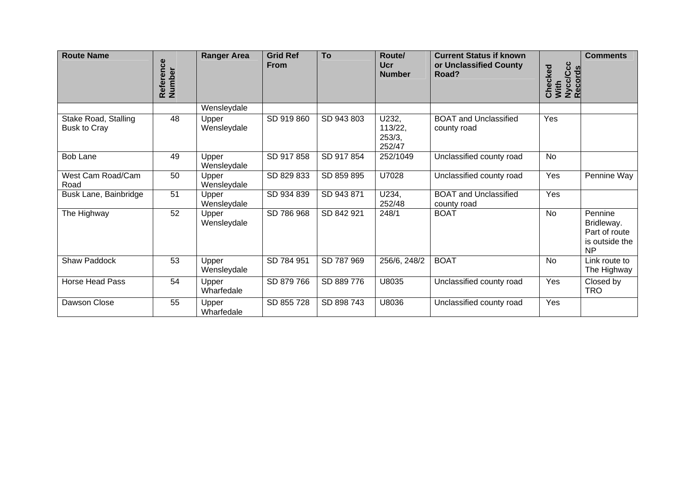| <b>Route Name</b>                           | Reference<br>Number | <b>Ranger Area</b>   | <b>Grid Ref</b><br><b>From</b> | To         | Route/<br><b>Ucr</b><br><b>Number</b> | <b>Current Status if known</b><br>or Unclassified County<br>Road? | Checked<br>With<br>Nycc/Ccc<br>Records | <b>Comments</b>                                                       |
|---------------------------------------------|---------------------|----------------------|--------------------------------|------------|---------------------------------------|-------------------------------------------------------------------|----------------------------------------|-----------------------------------------------------------------------|
|                                             |                     | Wensleydale          |                                |            |                                       |                                                                   |                                        |                                                                       |
| Stake Road, Stalling<br><b>Busk to Cray</b> | 48                  | Upper<br>Wensleydale | SD 919 860                     | SD 943 803 | U232,<br>113/22,<br>253/3,<br>252/47  | <b>BOAT and Unclassified</b><br>county road                       | Yes                                    |                                                                       |
| <b>Bob Lane</b>                             | 49                  | Upper<br>Wensleydale | SD 917 858                     | SD 917 854 | 252/1049                              | Unclassified county road                                          | No                                     |                                                                       |
| West Cam Road/Cam<br>Road                   | 50                  | Upper<br>Wensleydale | SD 829 833                     | SD 859 895 | U7028                                 | Unclassified county road                                          | Yes                                    | Pennine Way                                                           |
| Busk Lane, Bainbridge                       | 51                  | Upper<br>Wensleydale | SD 934 839                     | SD 943 871 | U234,<br>252/48                       | <b>BOAT and Unclassified</b><br>county road                       | Yes                                    |                                                                       |
| The Highway                                 | 52                  | Upper<br>Wensleydale | SD 786 968                     | SD 842 921 | 248/1                                 | <b>BOAT</b>                                                       | <b>No</b>                              | Pennine<br>Bridleway.<br>Part of route<br>is outside the<br><b>NP</b> |
| Shaw Paddock                                | 53                  | Upper<br>Wensleydale | SD 784 951                     | SD 787 969 | 256/6, 248/2                          | <b>BOAT</b>                                                       | No                                     | Link route to<br>The Highway                                          |
| <b>Horse Head Pass</b>                      | 54                  | Upper<br>Wharfedale  | SD 879 766                     | SD 889 776 | U8035                                 | Unclassified county road                                          | Yes                                    | Closed by<br><b>TRO</b>                                               |
| Dawson Close                                | 55                  | Upper<br>Wharfedale  | SD 855 728                     | SD 898 743 | U8036                                 | Unclassified county road                                          | Yes                                    |                                                                       |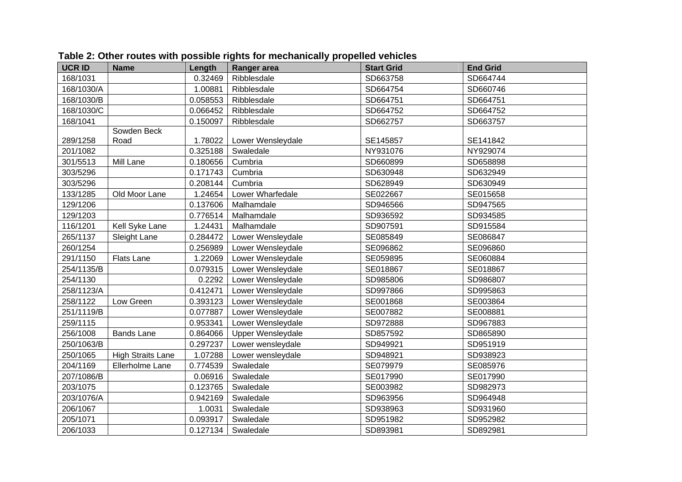| <b>UCR ID</b> | <b>Name</b>              | Length   | <b>Ranger area</b>       | <b>Start Grid</b> | <b>End Grid</b> |
|---------------|--------------------------|----------|--------------------------|-------------------|-----------------|
| 168/1031      |                          | 0.32469  | Ribblesdale              | SD663758          | SD664744        |
| 168/1030/A    |                          | 1.00881  | Ribblesdale              | SD664754          | SD660746        |
| 168/1030/B    |                          | 0.058553 | Ribblesdale              | SD664751          | SD664751        |
| 168/1030/C    |                          | 0.066452 | Ribblesdale              | SD664752          | SD664752        |
| 168/1041      |                          | 0.150097 | Ribblesdale              | SD662757          | SD663757        |
|               | Sowden Beck              |          |                          |                   |                 |
| 289/1258      | Road                     | 1.78022  | Lower Wensleydale        | SE145857          | SE141842        |
| 201/1082      |                          | 0.325188 | Swaledale                | NY931076          | NY929074        |
| 301/5513      | Mill Lane                | 0.180656 | Cumbria                  | SD660899          | SD658898        |
| 303/5296      |                          | 0.171743 | Cumbria                  | SD630948          | SD632949        |
| 303/5296      |                          | 0.208144 | Cumbria                  | SD628949          | SD630949        |
| 133/1285      | Old Moor Lane            | 1.24654  | Lower Wharfedale         | SE022667          | SE015658        |
| 129/1206      |                          | 0.137606 | Malhamdale               | SD946566          | SD947565        |
| 129/1203      |                          | 0.776514 | Malhamdale               | SD936592          | SD934585        |
| 116/1201      | Kell Syke Lane           | 1.24431  | Malhamdale               | SD907591          | SD915584        |
| 265/1137      | Sleight Lane             | 0.284472 | Lower Wensleydale        | SE085849          | SE086847        |
| 260/1254      |                          | 0.256989 | Lower Wensleydale        | SE096862          | SE096860        |
| 291/1150      | <b>Flats Lane</b>        | 1.22069  | Lower Wensleydale        | SE059895          | SE060884        |
| 254/1135/B    |                          | 0.079315 | Lower Wensleydale        | SE018867          | SE018867        |
| 254/1130      |                          | 0.2292   | Lower Wensleydale        | SD985806          | SD986807        |
| 258/1123/A    |                          | 0.412471 | Lower Wensleydale        | SD997866          | SD995863        |
| 258/1122      | Low Green                | 0.393123 | Lower Wensleydale        | SE001868          | SE003864        |
| 251/1119/B    |                          | 0.077887 | Lower Wensleydale        | SE007882          | SE008881        |
| 259/1115      |                          | 0.953341 | Lower Wensleydale        | SD972888          | SD967883        |
| 256/1008      | <b>Bands Lane</b>        | 0.864066 | <b>Upper Wensleydale</b> | SD857592          | SD865890        |
| 250/1063/B    |                          | 0.297237 | Lower wensleydale        | SD949921          | SD951919        |
| 250/1065      | <b>High Straits Lane</b> | 1.07288  | Lower wensleydale        | SD948921          | SD938923        |
| 204/1169      | Ellerholme Lane          | 0.774539 | Swaledale                | SE079979          | SE085976        |
| 207/1086/B    |                          | 0.06916  | Swaledale                | SE017990          | SE017990        |
| 203/1075      |                          | 0.123765 | Swaledale                | SE003982          | SD982973        |
| 203/1076/A    |                          | 0.942169 | Swaledale                | SD963956          | SD964948        |
| 206/1067      |                          | 1.0031   | Swaledale                | SD938963          | SD931960        |
| 205/1071      |                          | 0.093917 | Swaledale                | SD951982          | SD952982        |
| 206/1033      |                          | 0.127134 | Swaledale                | SD893981          | SD892981        |

#### **Table 2: Other routes with possible rights for mechanically propelled vehicles**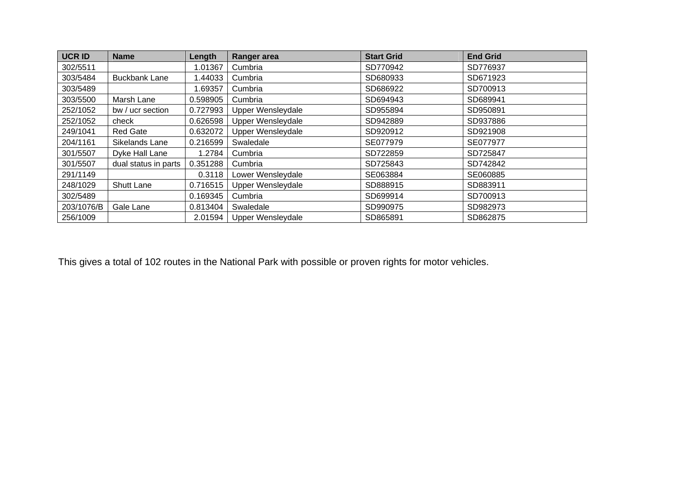| <b>UCR ID</b> | <b>Name</b>          | Length   | Ranger area              | <b>Start Grid</b> | <b>End Grid</b> |
|---------------|----------------------|----------|--------------------------|-------------------|-----------------|
| 302/5511      |                      | 1.01367  | Cumbria                  | SD770942          | SD776937        |
| 303/5484      | <b>Buckbank Lane</b> | 1.44033  | Cumbria                  | SD680933          | SD671923        |
| 303/5489      |                      | 1.69357  | Cumbria                  | SD686922          | SD700913        |
| 303/5500      | Marsh Lane           | 0.598905 | Cumbria                  | SD694943          | SD689941        |
| 252/1052      | bw / ucr section     | 0.727993 | Upper Wensleydale        | SD955894          | SD950891        |
| 252/1052      | check                | 0.626598 | Upper Wensleydale        | SD942889          | SD937886        |
| 249/1041      | Red Gate             | 0.632072 | Upper Wensleydale        | SD920912          | SD921908        |
| 204/1161      | Sikelands Lane       | 0.216599 | Swaledale                | SE077979          | SE077977        |
| 301/5507      | Dyke Hall Lane       | 1.2784   | Cumbria                  | SD722859          | SD725847        |
| 301/5507      | dual status in parts | 0.351288 | Cumbria                  | SD725843          | SD742842        |
| 291/1149      |                      | 0.3118   | Lower Wensleydale        | SE063884          | SE060885        |
| 248/1029      | <b>Shutt Lane</b>    | 0.716515 | <b>Upper Wensleydale</b> | SD888915          | SD883911        |
| 302/5489      |                      | 0.169345 | Cumbria                  | SD699914          | SD700913        |
| 203/1076/B    | Gale Lane            | 0.813404 | Swaledale                | SD990975          | SD982973        |
| 256/1009      |                      | 2.01594  | Upper Wensleydale        | SD865891          | SD862875        |

This gives a total of 102 routes in the National Park with possible or proven rights for motor vehicles.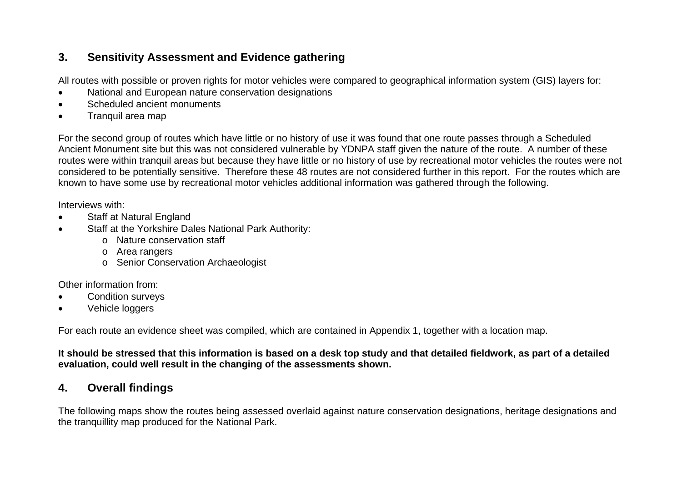### **3. Sensitivity Assessment and Evidence gathering**

All routes with possible or proven rights for motor vehicles were compared to geographical information system (GIS) layers for:

- National and European nature conservation designations
- Scheduled ancient monuments
- Tranquil area map

For the second group of routes which have little or no history of use it was found that one route passes through a Scheduled Ancient Monument site but this was not considered vulnerable by YDNPA staff given the nature of the route. A number of these routes were within tranquil areas but because they have little or no history of use by recreational motor vehicles the routes were not considered to be potentially sensitive. Therefore these 48 routes are not considered further in this report. For the routes which are known to have some use by recreational motor vehicles additional information was gathered through the following.

Interviews with:

- **Staff at Natural England**
- Staff at the Yorkshire Dales National Park Authority:
	- o Nature conservation staff
	- <sup>o</sup> Area rangers
	- <sup>o</sup> Senior Conservation Archaeologist

Other information from:

- Condition surveys
- Vehicle loggers

For each route an evidence sheet was compiled, which are contained in Appendix 1, together with a location map.

**It should be stressed that this information is based on a desk top study and that detailed fieldwork, as part of a detailed evaluation, could well result in the changing of the assessments shown.** 

### **4. Overall findings**

The following maps show the routes being assessed overlaid against nature conservation designations, heritage designations and the tranquillity map produced for the National Park.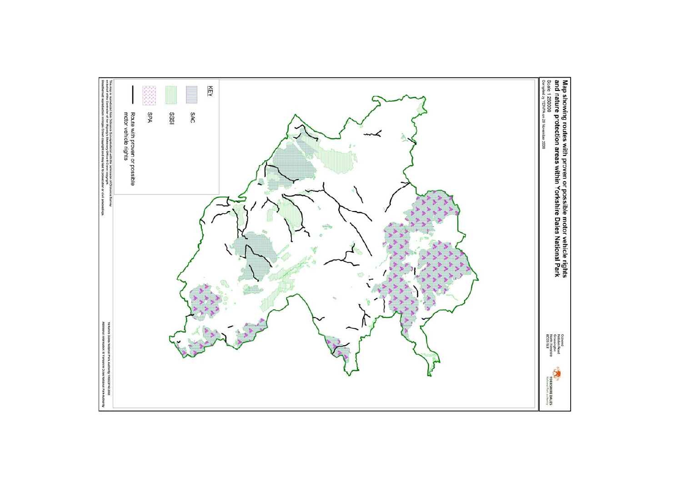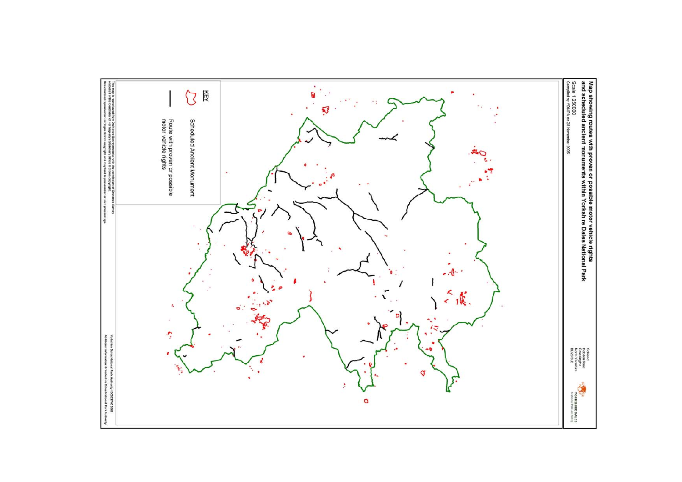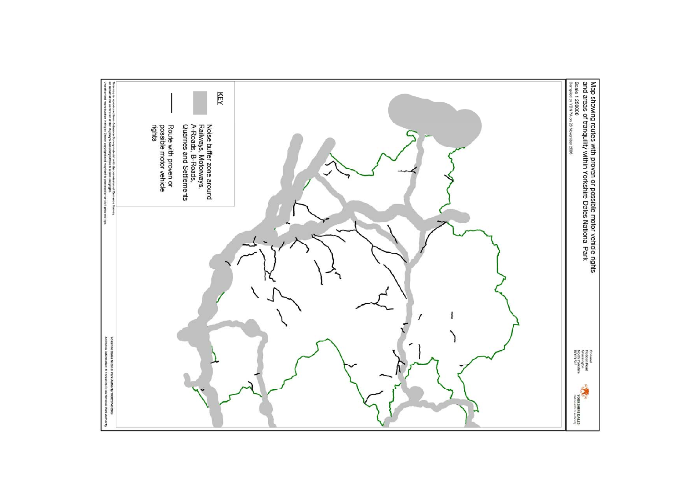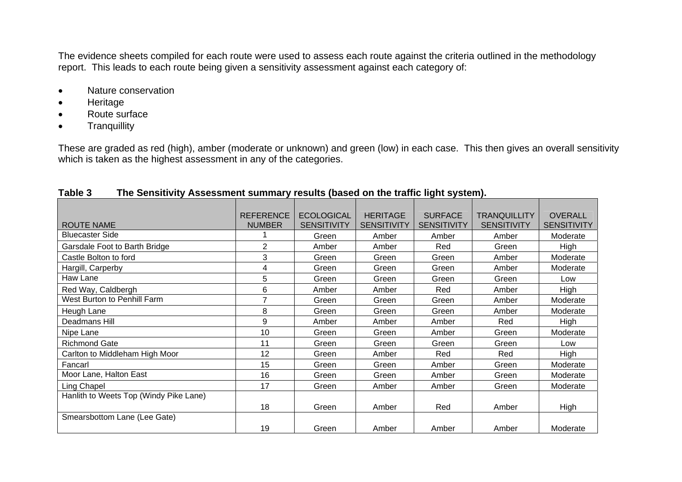The evidence sheets compiled for each route were used to assess each route against the criteria outlined in the methodology report. This leads to each route being given a sensitivity assessment against each category of:

- Nature conservation
- Heritage
- Route surface
- Tranquillity

These are graded as red (high), amber (moderate or unknown) and green (low) in each case. This then gives an overall sensitivity which is taken as the highest assessment in any of the categories.

|                                        | <b>REFERENCE</b> | <b>ECOLOGICAL</b>  | <b>HERITAGE</b>    | <b>SURFACE</b>     | <b>TRANQUILLITY</b> | <b>OVERALL</b>     |
|----------------------------------------|------------------|--------------------|--------------------|--------------------|---------------------|--------------------|
| <b>ROUTE NAME</b>                      | <b>NUMBER</b>    | <b>SENSITIVITY</b> | <b>SENSITIVITY</b> | <b>SENSITIVITY</b> | <b>SENSITIVITY</b>  | <b>SENSITIVITY</b> |
| <b>Bluecaster Side</b>                 |                  | Green              | Amber              | Amber              | Amber               | Moderate           |
| Garsdale Foot to Barth Bridge          | 2                | Amber              | Amber              | Red                | Green               | High               |
| Castle Bolton to ford                  | 3                | Green              | Green              | Green              | Amber               | Moderate           |
| Hargill, Carperby                      | 4                | Green              | Green              | Green              | Amber               | Moderate           |
| Haw Lane                               | 5                | Green              | Green              | Green              | Green               | Low                |
| Red Way, Caldbergh                     | 6                | Amber              | Amber              | Red                | Amber               | High               |
| West Burton to Penhill Farm            | $\overline{7}$   | Green              | Green              | Green              | Amber               | Moderate           |
| Heugh Lane                             | 8                | Green              | Green              | Green              | Amber               | Moderate           |
| Deadmans Hill                          | 9                | Amber              | Amber              | Amber              | Red                 | <b>High</b>        |
| Nipe Lane                              | 10               | Green              | Green              | Amber              | Green               | Moderate           |
| <b>Richmond Gate</b>                   | 11               | Green              | Green              | Green              | Green               | Low                |
| Carlton to Middleham High Moor         | 12               | Green              | Amber              | Red                | Red                 | High               |
| Fancarl                                | 15               | Green              | Green              | Amber              | Green               | Moderate           |
| Moor Lane, Halton East                 | 16               | Green              | Green              | Amber              | Green               | Moderate           |
| Ling Chapel                            | 17               | Green              | Amber              | Amber              | Green               | Moderate           |
| Hanlith to Weets Top (Windy Pike Lane) |                  |                    |                    |                    |                     |                    |
|                                        | 18               | Green              | Amber              | Red                | Amber               | High               |
| Smearsbottom Lane (Lee Gate)           |                  |                    |                    |                    |                     |                    |
|                                        | 19               | Green              | Amber              | Amber              | Amber               | Moderate           |

#### **Table 3 The Sensitivity Assessment summary results (based on the traffic light system).**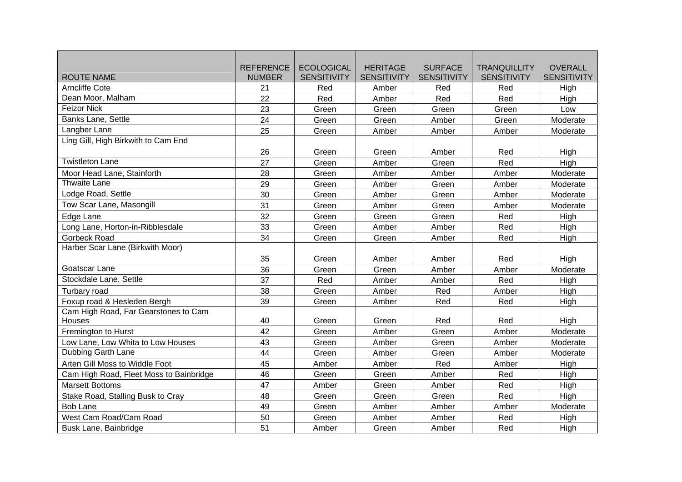|                                         | <b>REFERENCE</b> | <b>ECOLOGICAL</b>  | <b>HERITAGE</b>    | <b>SURFACE</b>     | <b>TRANQUILLITY</b> | <b>OVERALL</b>     |
|-----------------------------------------|------------------|--------------------|--------------------|--------------------|---------------------|--------------------|
| <b>ROUTE NAME</b>                       | <b>NUMBER</b>    | <b>SENSITIVITY</b> | <b>SENSITIVITY</b> | <b>SENSITIVITY</b> | <b>SENSITIVITY</b>  | <b>SENSITIVITY</b> |
| <b>Arncliffe Cote</b>                   | 21               | Red                | Amber              | Red                | Red                 | High               |
| Dean Moor, Malham                       | 22               | Red                | Amber              | Red                | Red                 | High               |
| <b>Feizor Nick</b>                      | 23               | Green              | Green              | Green              | Green               | Low                |
| Banks Lane, Settle                      | 24               | Green              | Green              | Amber              | Green               | Moderate           |
| Langber Lane                            | 25               | Green              | Amber              | Amber              | Amber               | Moderate           |
| Ling Gill, High Birkwith to Cam End     |                  |                    |                    |                    |                     |                    |
|                                         | 26               | Green              | Green              | Amber              | Red                 | High               |
| <b>Twistleton Lane</b>                  | 27               | Green              | Amber              | Green              | Red                 | High               |
| Moor Head Lane, Stainforth              | 28               | Green              | Amber              | Amber              | Amber               | Moderate           |
| Thwaite Lane                            | 29               | Green              | Amber              | Green              | Amber               | Moderate           |
| Lodge Road, Settle                      | 30               | Green              | Amber              | Green              | Amber               | Moderate           |
| Tow Scar Lane, Masongill                | 31               | Green              | Amber              | Green              | Amber               | Moderate           |
| Edge Lane                               | 32               | Green              | Green              | Green              | Red                 | High               |
| Long Lane, Horton-in-Ribblesdale        | 33               | Green              | Amber              | Amber              | Red                 | High               |
| <b>Gorbeck Road</b>                     | 34               | Green              | Green              | Amber              | Red                 | High               |
| Harber Scar Lane (Birkwith Moor)        |                  |                    |                    |                    |                     |                    |
|                                         | 35               | Green              | Amber              | Amber              | Red                 | High               |
| Goatscar Lane                           | 36               | Green              | Green              | Amber              | Amber               | Moderate           |
| Stockdale Lane, Settle                  | 37               | Red                | Amber              | Amber              | Red                 | High               |
| Turbary road                            | 38               | Green              | Amber              | Red                | Amber               | High               |
| Foxup road & Hesleden Bergh             | 39               | Green              | Amber              | Red                | Red                 | High               |
| Cam High Road, Far Gearstones to Cam    |                  |                    |                    |                    |                     |                    |
| Houses                                  | 40               | Green              | Green              | Red                | Red                 | High               |
| Fremington to Hurst                     | 42               | Green              | Amber              | Green              | Amber               | Moderate           |
| Low Lane, Low Whita to Low Houses       | 43               | Green              | Amber              | Green              | Amber               | Moderate           |
| Dubbing Garth Lane                      | 44               | Green              | Amber              | Green              | Amber               | Moderate           |
| Arten Gill Moss to Widdle Foot          | 45               | Amber              | Amber              | Red                | Amber               | High               |
| Cam High Road, Fleet Moss to Bainbridge | 46               | Green              | Green              | Amber              | Red                 | High               |
| <b>Marsett Bottoms</b>                  | 47               | Amber              | Green              | Amber              | Red                 | High               |
| Stake Road, Stalling Busk to Cray       | 48               | Green              | Green              | Green              | Red                 | High               |
| <b>Bob Lane</b>                         | 49               | Green              | Amber              | Amber              | Amber               | Moderate           |
| West Cam Road/Cam Road                  | 50               | Green              | Amber              | Amber              | Red                 | High               |
| Busk Lane, Bainbridge                   | 51               | Amber              | Green              | Amber              | Red                 | High               |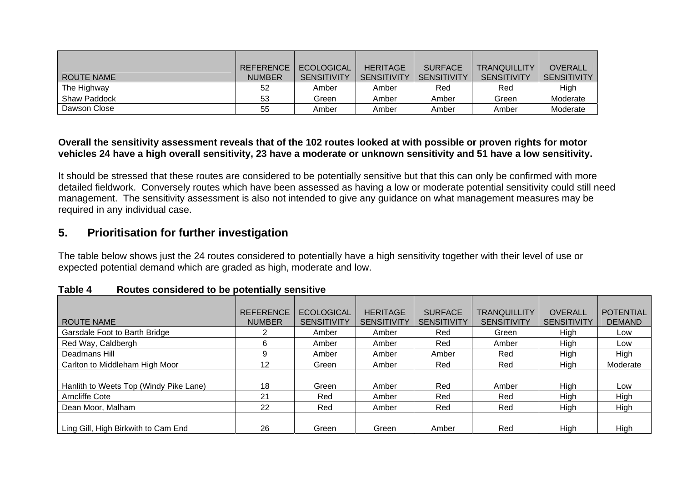|                   | <b>REFERENCE</b> | <b>ECOLOGICAL</b>  | <b>HERITAGE</b>    | <b>SURFACE</b>     | <b>TRANQUILLITY</b> | <b>OVERALL</b>     |
|-------------------|------------------|--------------------|--------------------|--------------------|---------------------|--------------------|
| <b>ROUTE NAME</b> | <b>NUMBER</b>    | <b>SENSITIVITY</b> | <b>SENSITIVITY</b> | <b>SENSITIVITY</b> | <b>SENSITIVITY</b>  | <b>SENSITIVITY</b> |
| The Highway       | 52               | Amber              | Amber              | Red                | Red                 | High               |
| Shaw Paddock      | 53               | Green              | Amber              | Amber              | Green               | Moderate           |
| Dawson Close      | 55               | Amber              | Amber              | Amber              | Amber               | Moderate           |

#### **Overall the sensitivity assessment reveals that of the 102 routes looked at with possible or proven rights for motor vehicles 24 have a high overall sensitivity, 23 have a moderate or unknown sensitivity and 51 have a low sensitivity.**

It should be stressed that these routes are considered to be potentially sensitive but that this can only be confirmed with more detailed fieldwork. Conversely routes which have been assessed as having a low or moderate potential sensitivity could still need management. The sensitivity assessment is also not intended to give any guidance on what management measures may be required in any individual case.

### **5. Prioritisation for further investigation**

The table below shows just the 24 routes considered to potentially have a high sensitivity together with their level of use or expected potential demand which are graded as high, moderate and low.

|                                        | <b>REFERENCE</b> | <b>ECOLOGICAL</b>  | <b>HERITAGE</b>    | <b>SURFACE</b>     | <b>TRANQUILLITY</b> | <b>OVERALL</b>     | <b>POTENTIAL</b> |
|----------------------------------------|------------------|--------------------|--------------------|--------------------|---------------------|--------------------|------------------|
| ROUTE NAME                             | <b>NUMBER</b>    | <b>SENSITIVITY</b> | <b>SENSITIVITY</b> | <b>SENSITIVITY</b> | <b>SENSITIVITY</b>  | <b>SENSITIVITY</b> | <b>DEMAND</b>    |
| Garsdale Foot to Barth Bridge          | 2                | Amber              | Amber              | Red                | Green               | High               | Low              |
| Red Way, Caldbergh                     | 6                | Amber              | Amber              | Red                | Amber               | High               | Low              |
| Deadmans Hill                          | 9                | Amber              | Amber              | Amber              | Red                 | High               | High             |
| Carlton to Middleham High Moor         | 12               | Green              | Amber              | Red                | Red                 | High               | Moderate         |
|                                        |                  |                    |                    |                    |                     |                    |                  |
| Hanlith to Weets Top (Windy Pike Lane) | 18               | Green              | Amber              | Red                | Amber               | High               | Low              |
| <b>Arncliffe Cote</b>                  | 21               | Red                | Amber              | Red                | Red                 | High               | High             |
| Dean Moor, Malham                      | 22               | Red                | Amber              | Red                | Red                 | High               | High             |
|                                        |                  |                    |                    |                    |                     |                    |                  |
| Ling Gill, High Birkwith to Cam End    | 26               | Green              | Green              | Amber              | Red                 | High               | High             |

| Table 4 |  | Routes considered to be potentially sensitive |  |  |  |
|---------|--|-----------------------------------------------|--|--|--|
|---------|--|-----------------------------------------------|--|--|--|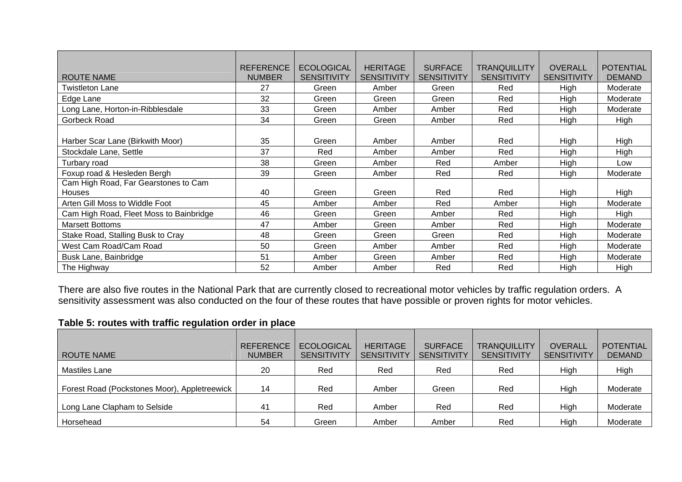|                                         | <b>REFERENCE</b> | <b>ECOLOGICAL</b>  | <b>HERITAGE</b>    | <b>SURFACE</b>     | <b>TRANQUILLITY</b> | <b>OVERALL</b>     | <b>POTENTIAL</b> |
|-----------------------------------------|------------------|--------------------|--------------------|--------------------|---------------------|--------------------|------------------|
| <b>ROUTE NAME</b>                       | <b>NUMBER</b>    | <b>SENSITIVITY</b> | <b>SENSITIVITY</b> | <b>SENSITIVITY</b> | <b>SENSITIVITY</b>  | <b>SENSITIVITY</b> | <b>DEMAND</b>    |
| <b>Twistleton Lane</b>                  | 27               | Green              | Amber              | Green              | Red                 | High               | Moderate         |
| Edge Lane                               | 32               | Green              | Green              | Green              | Red                 | High               | Moderate         |
| Long Lane, Horton-in-Ribblesdale        | 33               | Green              | Amber              | Amber              | Red                 | High               | Moderate         |
| Gorbeck Road                            | 34               | Green              | Green              | Amber              | Red                 | High               | High             |
|                                         |                  |                    |                    |                    |                     |                    |                  |
| Harber Scar Lane (Birkwith Moor)        | 35               | Green              | Amber              | Amber              | Red                 | High               | High             |
| Stockdale Lane, Settle                  | 37               | Red                | Amber              | Amber              | Red                 | High               | High             |
| Turbary road                            | 38               | Green              | Amber              | Red                | Amber               | High               | Low              |
| Foxup road & Hesleden Bergh             | 39               | Green              | Amber              | Red                | Red                 | High               | Moderate         |
| Cam High Road, Far Gearstones to Cam    |                  |                    |                    |                    |                     |                    |                  |
| <b>Houses</b>                           | 40               | Green              | Green              | Red                | Red                 | High               | High             |
| Arten Gill Moss to Widdle Foot          | 45               | Amber              | Amber              | Red                | Amber               | High               | Moderate         |
| Cam High Road, Fleet Moss to Bainbridge | 46               | Green              | Green              | Amber              | Red                 | High               | <b>High</b>      |
| <b>Marsett Bottoms</b>                  | 47               | Amber              | Green              | Amber              | Red                 | High               | Moderate         |
| Stake Road, Stalling Busk to Cray       | 48               | Green              | Green              | Green              | Red                 | High               | Moderate         |
| West Cam Road/Cam Road                  | 50               | Green              | Amber              | Amber              | Red                 | High               | Moderate         |
| Busk Lane, Bainbridge                   | 51               | Amber              | Green              | Amber              | Red                 | High               | Moderate         |
| The Highway                             | 52               | Amber              | Amber              | Red                | Red                 | High               | High             |

There are also five routes in the National Park that are currently closed to recreational motor vehicles by traffic regulation orders. A sensitivity assessment was also conducted on the four of these routes that have possible or proven rights for motor vehicles.

#### **Table 5: routes with traffic regulation order in place**

|                                              | <b>REFERENCE</b> | <b>ECOLOGICAL</b>  | <b>HERITAGE</b>    | <b>SURFACE</b>     | <b>TRANQUILLITY</b> | <b>OVERALL</b>     | <b>POTENTIAL</b> |
|----------------------------------------------|------------------|--------------------|--------------------|--------------------|---------------------|--------------------|------------------|
| ROUTE NAME                                   | <b>NUMBER</b>    | <b>SENSITIVITY</b> | <b>SENSITIVITY</b> | <b>SENSITIVITY</b> | <b>SENSITIVITY</b>  | <b>SENSITIVITY</b> | <b>DEMAND</b>    |
| <b>Mastiles Lane</b>                         | 20               | Red                | Red                | Red                | Red                 | High               | High             |
| Forest Road (Pockstones Moor), Appletreewick | 14               | Red                | Amber              | Green              | Red                 | High               | Moderate         |
| Long Lane Clapham to Selside                 | 41               | Red                | Amber              | Red                | Red                 | High               | Moderate         |
| Horsehead                                    | 54               | Green              | Amber              | Amber              | Red                 | High               | Moderate         |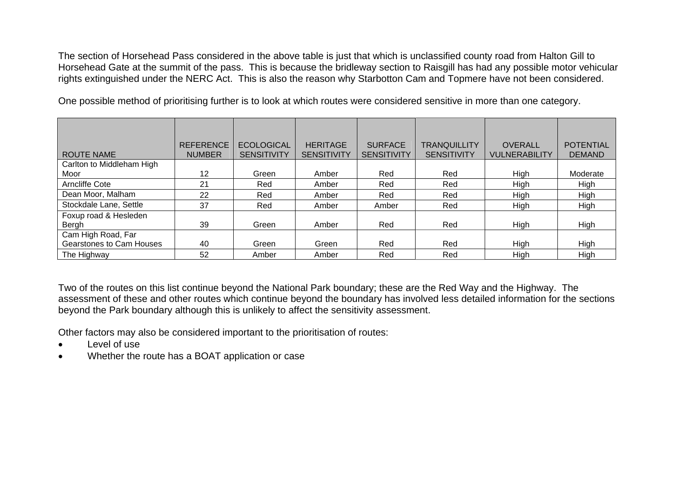The section of Horsehead Pass considered in the above table is just that which is unclassified county road from Halton Gill to Horsehead Gate at the summit of the pass. This is because the bridleway section to Raisgill has had any possible motor vehicular rights extinguished under the NERC Act. This is also the reason why Starbotton Cam and Topmere have not been considered.

One possible method of prioritising further is to look at which routes were considered sensitive in more than one category.

| <b>ROUTE NAME</b>               | <b>REFERENCE</b><br><b>NUMBER</b> | <b>ECOLOGICAL</b><br><b>SENSITIVITY</b> | <b>HERITAGE</b><br><b>SENSITIVITY</b> | <b>SURFACE</b><br><b>SENSITIVITY</b> | <b>TRANQUILLITY</b><br><b>SENSITIVITY</b> | <b>OVERALL</b><br><b>VULNERABILITY</b> | <b>POTENTIAL</b><br><b>DEMAND</b> |
|---------------------------------|-----------------------------------|-----------------------------------------|---------------------------------------|--------------------------------------|-------------------------------------------|----------------------------------------|-----------------------------------|
| Carlton to Middleham High       |                                   |                                         |                                       |                                      |                                           |                                        |                                   |
| Moor                            | 12                                | Green                                   | Amber                                 | Red                                  | Red                                       | High                                   | Moderate                          |
| Arncliffe Cote                  | 21                                | Red                                     | Amber                                 | Red                                  | Red                                       | High                                   | High                              |
| Dean Moor, Malham               | 22                                | Red                                     | Amber                                 | Red                                  | Red                                       | High                                   | High                              |
| Stockdale Lane, Settle          | 37                                | Red                                     | Amber                                 | Amber                                | Red                                       | High                                   | High                              |
| Foxup road & Hesleden           |                                   |                                         |                                       |                                      |                                           |                                        |                                   |
| Bergh                           | 39                                | Green                                   | Amber                                 | Red                                  | Red                                       | High                                   | High                              |
| Cam High Road, Far              |                                   |                                         |                                       |                                      |                                           |                                        |                                   |
| <b>Gearstones to Cam Houses</b> | 40                                | Green                                   | Green                                 | Red                                  | Red                                       | High                                   | High                              |
| The Highway                     | 52                                | Amber                                   | Amber                                 | Red                                  | Red                                       | High                                   | High                              |

Two of the routes on this list continue beyond the National Park boundary; these are the Red Way and the Highway. The assessment of these and other routes which continue beyond the boundary has involved less detailed information for the sections beyond the Park boundary although this is unlikely to affect the sensitivity assessment.

Other factors may also be considered important to the prioritisation of routes:

- Level of use
- Whether the route has a BOAT application or case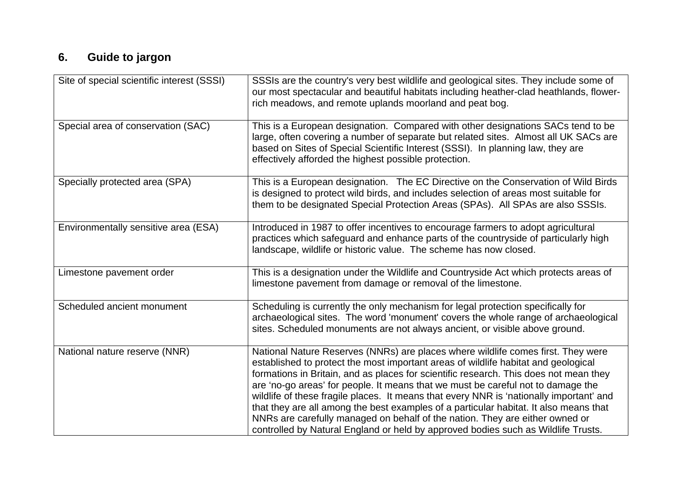## **6. Guide to jargon**

| Site of special scientific interest (SSSI) | SSSIs are the country's very best wildlife and geological sites. They include some of<br>our most spectacular and beautiful habitats including heather-clad heathlands, flower-<br>rich meadows, and remote uplands moorland and peat bog.                                                                                                                                                                                                                                                                                                                                                                                                                                                                   |
|--------------------------------------------|--------------------------------------------------------------------------------------------------------------------------------------------------------------------------------------------------------------------------------------------------------------------------------------------------------------------------------------------------------------------------------------------------------------------------------------------------------------------------------------------------------------------------------------------------------------------------------------------------------------------------------------------------------------------------------------------------------------|
| Special area of conservation (SAC)         | This is a European designation. Compared with other designations SACs tend to be<br>large, often covering a number of separate but related sites. Almost all UK SACs are<br>based on Sites of Special Scientific Interest (SSSI). In planning law, they are<br>effectively afforded the highest possible protection.                                                                                                                                                                                                                                                                                                                                                                                         |
| Specially protected area (SPA)             | This is a European designation. The EC Directive on the Conservation of Wild Birds<br>is designed to protect wild birds, and includes selection of areas most suitable for<br>them to be designated Special Protection Areas (SPAs). All SPAs are also SSSIs.                                                                                                                                                                                                                                                                                                                                                                                                                                                |
| Environmentally sensitive area (ESA)       | Introduced in 1987 to offer incentives to encourage farmers to adopt agricultural<br>practices which safeguard and enhance parts of the countryside of particularly high<br>landscape, wildlife or historic value. The scheme has now closed.                                                                                                                                                                                                                                                                                                                                                                                                                                                                |
| Limestone pavement order                   | This is a designation under the Wildlife and Countryside Act which protects areas of<br>limestone pavement from damage or removal of the limestone.                                                                                                                                                                                                                                                                                                                                                                                                                                                                                                                                                          |
| Scheduled ancient monument                 | Scheduling is currently the only mechanism for legal protection specifically for<br>archaeological sites. The word 'monument' covers the whole range of archaeological<br>sites. Scheduled monuments are not always ancient, or visible above ground.                                                                                                                                                                                                                                                                                                                                                                                                                                                        |
| National nature reserve (NNR)              | National Nature Reserves (NNRs) are places where wildlife comes first. They were<br>established to protect the most important areas of wildlife habitat and geological<br>formations in Britain, and as places for scientific research. This does not mean they<br>are 'no-go areas' for people. It means that we must be careful not to damage the<br>wildlife of these fragile places. It means that every NNR is 'nationally important' and<br>that they are all among the best examples of a particular habitat. It also means that<br>NNRs are carefully managed on behalf of the nation. They are either owned or<br>controlled by Natural England or held by approved bodies such as Wildlife Trusts. |